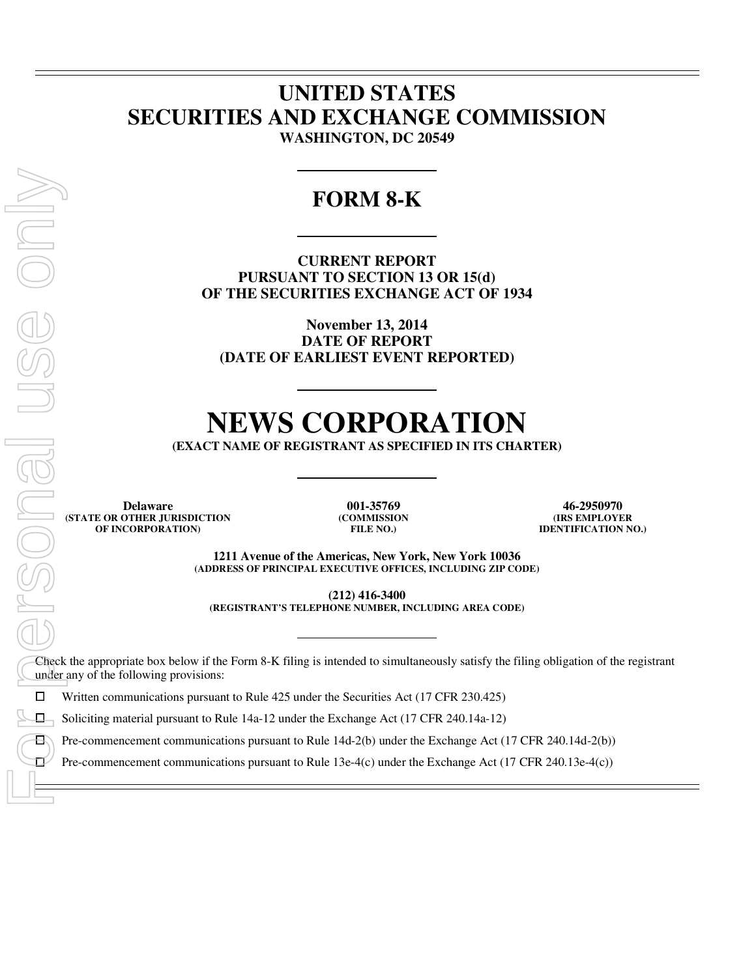## **UNITED STATES SECURITIES AND EXCHANGE COMMISSION WASHINGTON, DC 20549**

## **FORM 8-K**

**CURRENT REPORT PURSUANT TO SECTION 13 OR 15(d) OF THE SECURITIES EXCHANGE ACT OF 1934** 

**November 13, 2014 DATE OF REPORT (DATE OF EARLIEST EVENT REPORTED)** 

# **NEWS CORPORATION**

**(EXACT NAME OF REGISTRANT AS SPECIFIED IN ITS CHARTER)** 

**Delaware 001-35769 46-2950970 (STATE OR OTHER JURISDICTION OF INCORPORATION)**

**(COMMISSION FILE NO.)**

**(IRS EMPLOYER IDENTIFICATION NO.)**

**1211 Avenue of the Americas, New York, New York 10036 (ADDRESS OF PRINCIPAL EXECUTIVE OFFICES, INCLUDING ZIP CODE)** 

**(212) 416-3400** 

**(REGISTRANT'S TELEPHONE NUMBER, INCLUDING AREA CODE)** 

Check the appropriate box below if the Form 8-K filing is intended to simultaneously satisfy the filing obligation of the registrant under any of the following provisions:

 $\Box$  Written communications pursuant to Rule 425 under the Securities Act (17 CFR 230.425)<br> $\Box$  Soliciting material pursuant to Rule 14a-12 under the Exchange Act (17 CFR 240.14a-12)

Soliciting material pursuant to Rule 14a-12 under the Exchange Act (17 CFR 240.14a-12)<br>  $\Box$  Pre-commencement communications pursuant to Rule 14d-2(b) under the Exchange Act (1

Pre-commencement communications pursuant to Rule 14d-2(b) under the Exchange Act (17 CFR 240.14d-2(b))<br>Pre-commencement communications pursuant to Rule 13e-4(c) under the Exchange Act (17 CFR 240.13e-4(c))

 $\overline{a}$  $\overline{a}$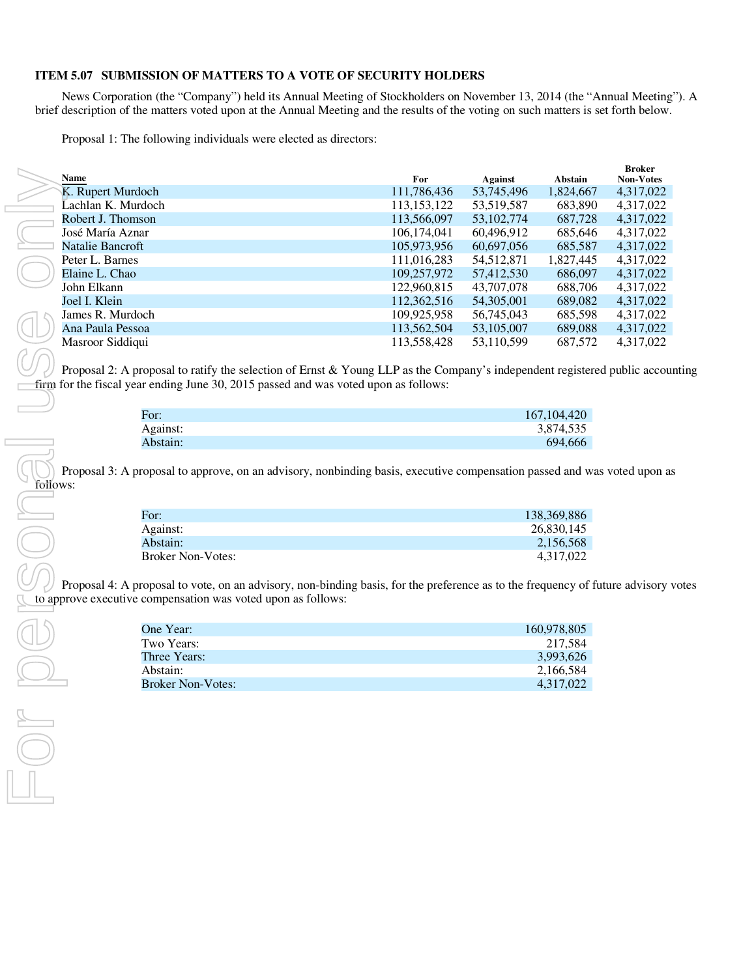### **ITEM 5.07 SUBMISSION OF MATTERS TO A VOTE OF SECURITY HOLDERS**

News Corporation (the "Company") held its Annual Meeting of Stockholders on November 13, 2014 (the "Annual Meeting"). A brief description of the matters voted upon at the Annual Meeting and the results of the voting on such matters is set forth below.

Proposal 1: The following individuals were elected as directors:

| <b>Name</b>        | For           | Against      | Abstain   | <b>Broker</b><br><b>Non-Votes</b> |
|--------------------|---------------|--------------|-----------|-----------------------------------|
| K. Rupert Murdoch  | 111,786,436   | 53,745,496   | 1,824,667 | 4,317,022                         |
| Lachlan K. Murdoch | 113, 153, 122 | 53,519,587   | 683,890   | 4,317,022                         |
| Robert J. Thomson  | 113,566,097   | 53, 102, 774 | 687,728   | 4,317,022                         |
| José María Aznar   | 106,174,041   | 60,496,912   | 685,646   | 4,317,022                         |
| Natalie Bancroft   | 105,973,956   | 60,697,056   | 685,587   | 4,317,022                         |
| Peter L. Barnes    | 111,016,283   | 54, 512, 871 | 1,827,445 | 4,317,022                         |
| Elaine L. Chao     | 109,257,972   | 57,412,530   | 686,097   | 4,317,022                         |
| John Elkann        | 122,960,815   | 43,707,078   | 688,706   | 4,317,022                         |
| Joel I. Klein      | 112,362,516   | 54,305,001   | 689,082   | 4,317,022                         |
| James R. Murdoch   | 109,925,958   | 56,745,043   | 685,598   | 4,317,022                         |
| Ana Paula Pessoa   | 113,562,504   | 53,105,007   | 689,088   | 4,317,022                         |
| Masroor Siddiqui   | 113,558,428   | 53,110,599   | 687,572   | 4.317.022                         |

Proposal 2: A proposal to ratify the selection of Ernst & Young LLP as the Company's independent registered public accounting firm for the fiscal year ending June 30, 2015 passed and was voted upon as follows:

| For:     | 167, 104, 420 |
|----------|---------------|
| Against: | 3,874,535     |
| Abstain: | 694,666       |

Proposal 3: A proposal to approve, on an advisory, nonbinding basis, executive compensation passed and was voted upon as

| For:                     | 138.369.886 |
|--------------------------|-------------|
| Against:                 | 26,830,145  |
| Abstain:                 | 2.156.568   |
| <b>Broker Non-Votes:</b> | 4,317,022   |

Proposal 4: A proposal to vote, on an advisory, non-binding basis, for the preference as to the frequency of future advisory votes to approve executive compensation was voted upon as follows:

| One Year:                | 160,978,805 |
|--------------------------|-------------|
| Two Years:               | 217.584     |
| Three Years:             | 3.993.626   |
| Abstain:                 | 2.166.584   |
| <b>Broker Non-Votes:</b> | 4.317.022   |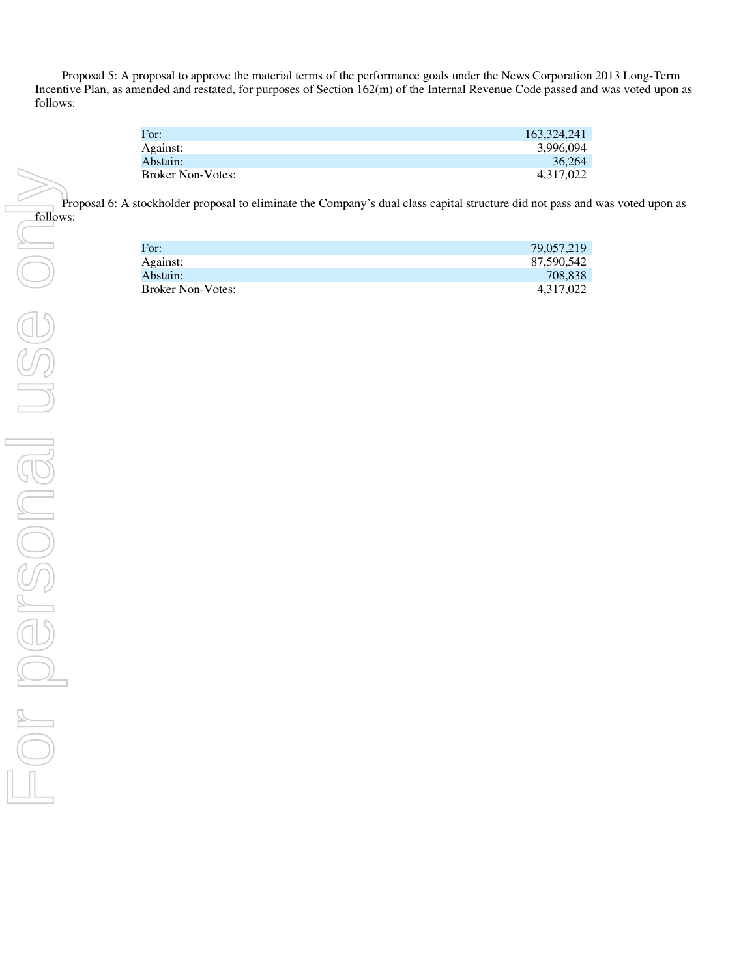Proposal 5: A proposal to approve the material terms of the performance goals under the News Corporation 2013 Long-Term Incentive Plan, as amended and restated, for purposes of Section 162(m) of the Internal Revenue Code passed and was voted upon as follows:

| For:                     | 163.324.241 |
|--------------------------|-------------|
| Against:                 | 3.996.094   |
| Abstain:                 | 36.264      |
| <b>Broker Non-Votes:</b> | 4.317.022   |

Proposal 6: A stockholder proposal to eliminate the Company's dual class capital structure did not pass and was voted upon as follows:

| For:                     | 79,057,219 |
|--------------------------|------------|
| Against:                 | 87.590.542 |
| Abstain:                 | 708.838    |
| <b>Broker Non-Votes:</b> | 4.317.022  |